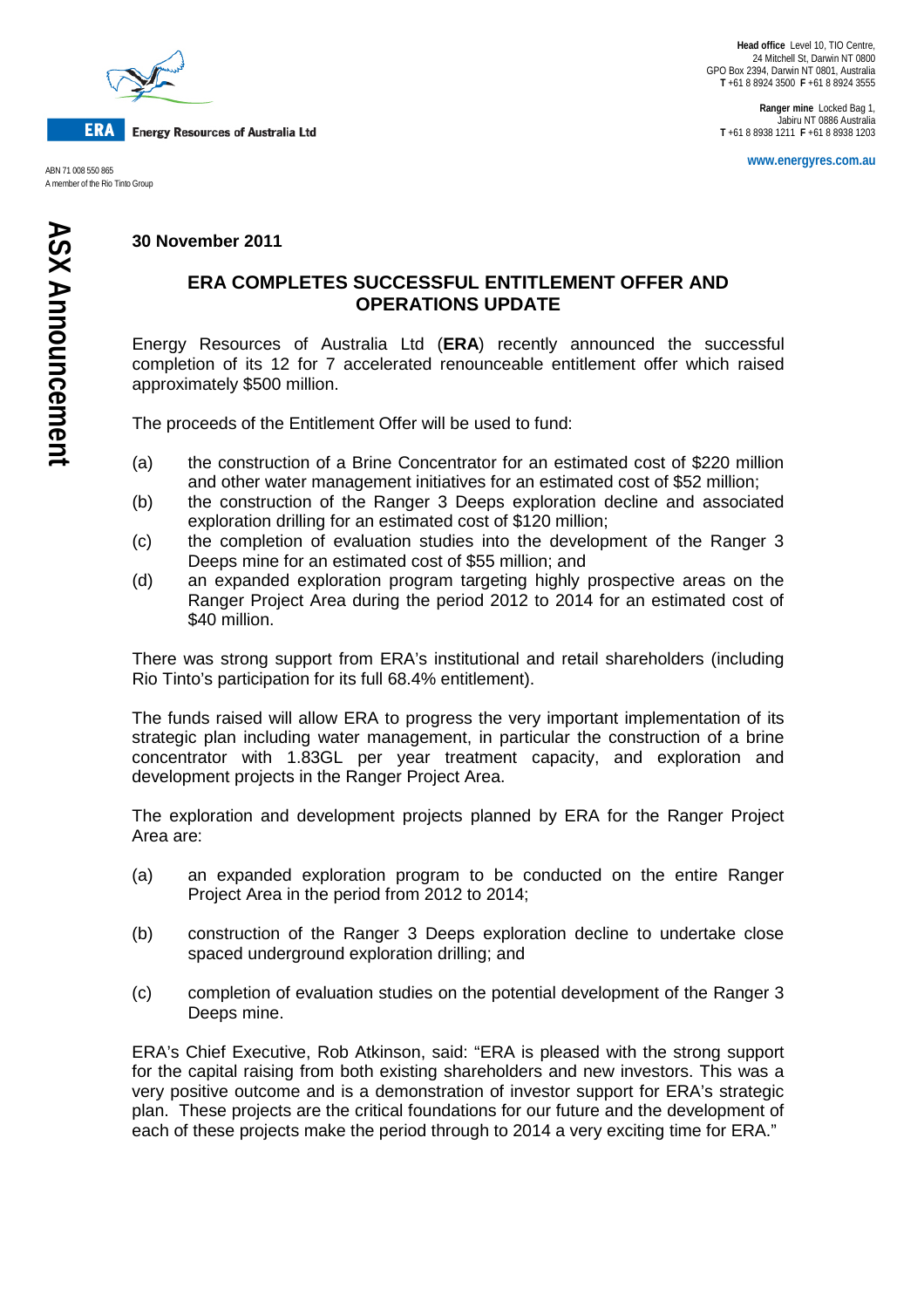

**ERA Energy Resources of Australia Ltd** 

A member of the Rio Tinto Group

**Ranger mine** Locked Bag 1, Jabiru NT 0886 Australia **T** +61 8 8938 1211 **F** +61 8 8938 1203

**www.energyres.com.au** ABN 71 008 550 865

## **30 November 2011**

## **ERA COMPLETES SUCCESSFUL ENTITLEMENT OFFER AND OPERATIONS UPDATE**

Energy Resources of Australia Ltd (**ERA**) recently announced the successful completion of its 12 for 7 accelerated renounceable entitlement offer which raised approximately \$500 million.

The proceeds of the Entitlement Offer will be used to fund:

- (a) the construction of a Brine Concentrator for an estimated cost of \$220 million and other water management initiatives for an estimated cost of \$52 million;
- (b) the construction of the Ranger 3 Deeps exploration decline and associated exploration drilling for an estimated cost of \$120 million;
- (c) the completion of evaluation studies into the development of the Ranger 3 Deeps mine for an estimated cost of \$55 million; and
- (d) an expanded exploration program targeting highly prospective areas on the Ranger Project Area during the period 2012 to 2014 for an estimated cost of \$40 million.

There was strong support from ERA's institutional and retail shareholders (including Rio Tinto's participation for its full 68.4% entitlement).

The funds raised will allow ERA to progress the very important implementation of its strategic plan including water management, in particular the construction of a brine concentrator with 1.83GL per year treatment capacity, and exploration and development projects in the Ranger Project Area.

The exploration and development projects planned by ERA for the Ranger Project Area are:

- (a) an expanded exploration program to be conducted on the entire Ranger Project Area in the period from 2012 to 2014;
- (b) construction of the Ranger 3 Deeps exploration decline to undertake close spaced underground exploration drilling; and
- (c) completion of evaluation studies on the potential development of the Ranger 3 Deeps mine.

ERA's Chief Executive, Rob Atkinson, said: "ERA is pleased with the strong support for the capital raising from both existing shareholders and new investors. This was a very positive outcome and is a demonstration of investor support for ERA's strategic plan. These projects are the critical foundations for our future and the development of each of these projects make the period through to 2014 a very exciting time for ERA."